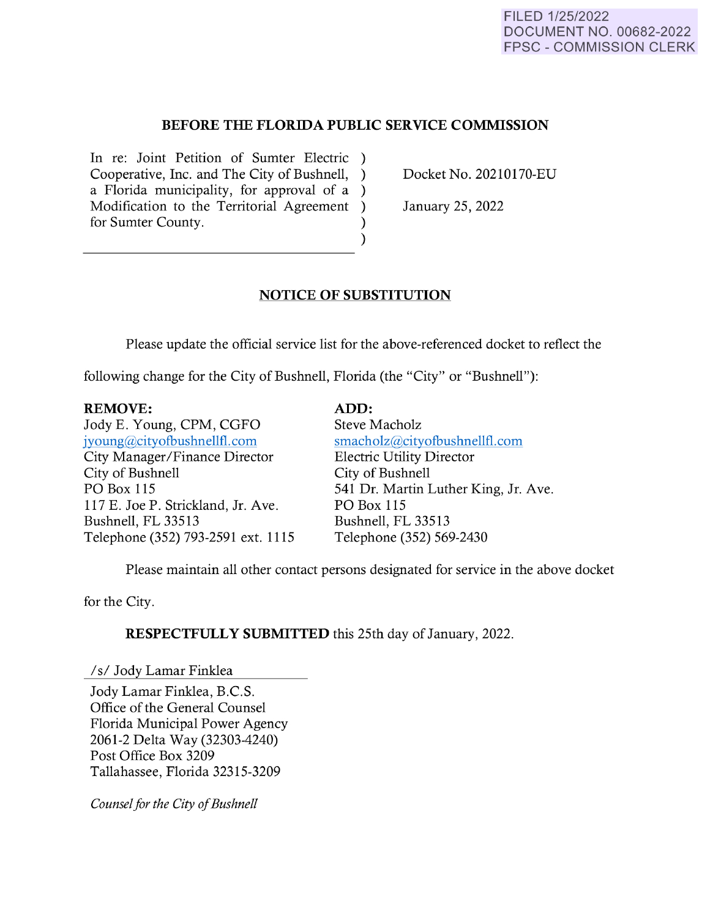## **BEFORE THE FLORIDA PUBLIC SERVICE COMMISSION**

In re: Joint Petition of Sumter Electric ) Cooperative, Inc. and The City of Bushnell, ) a Florida municipality, for approval of a ) Modification to the Territorial Agreement ) for Sumter County.

Docket No. 20210170-EU

January 25, 2022

## **NOTICE OF SUBSTITUTION**

)

Please update the official service list for the above-referenced docket to reflect the

**ADD:** 

following change for the City of Bushnell, Florida (the "City" or "Bushnell"):

## **REMOVE:**

Jody E. Young, CPM, CGFO [jyoung@cityofbushnellfl.com](mailto:jyoung@cityofbushnellfl.com)  City Manager /Finance Director City of Bushnell PO Box 115 117 E. Joe P. Strickland, Jr. Ave. Bushnell, FL 33513 Telephone (352) 793-2591 ext. 1115 Steve Macholz [smacholz@cityofbushnellfl.com](mailto:smacholz@cityofbushnellfl.com)  Electric Utility Director City of Bushnell 541 Dr. Martin Luther King, Jr. Ave. PO Box 115 Bushnell, FL 33513 Telephone (352) 569-2430

Please maintain all other contact persons designated for service in the above docket

for the City.

**RESPECTFULLY SUBMITTED** this 25th day of January, 2022.

*Is/* Jody Lamar Finklea

Jody Lamar Finklea, B.C.S. Office of the General Counsel Florida Municipal Power Agency 2061-2 Delta Way (32303-4240) Post Office Box 3209 Tallahassee, Florida 32315-3209

*Counsel for the City of Bushnell*